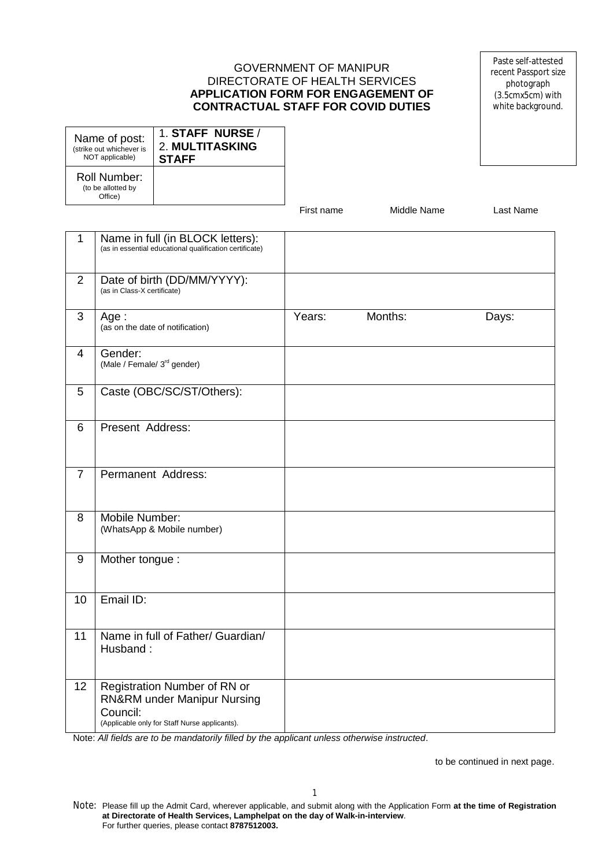#### GOVERNMENT OF MANIPUR DIRECTORATE OF HEALTH SERVICES **APPLICATION FORM FOR ENGAGEMENT OF CONTRACTUAL STAFF FOR COVID DUTIES**

Paste self-attested recent Passport size photograph (3.5cmx5cm) with white background.

| Name of post:                                 | 1. STAFF NURSE /       |
|-----------------------------------------------|------------------------|
| (strike out whichever is                      | <b>2. MULTITASKING</b> |
| NOT applicable)                               | <b>STAFF</b>           |
| Roll Number:<br>(to be allotted by<br>Office) |                        |

First name Middle Name Last Name

| $\mathbf{1}$   | Name in full (in BLOCK letters):<br>(as in essential educational qualification certificate)                                         |        |         |       |
|----------------|-------------------------------------------------------------------------------------------------------------------------------------|--------|---------|-------|
| 2              | Date of birth (DD/MM/YYYY):<br>(as in Class-X certificate)                                                                          |        |         |       |
| $\mathfrak{S}$ | Age:<br>(as on the date of notification)                                                                                            | Years: | Months: | Days: |
| 4              | Gender:<br>(Male / Female/ 3 <sup>rd</sup> gender)                                                                                  |        |         |       |
| 5              | Caste (OBC/SC/ST/Others):                                                                                                           |        |         |       |
| 6              | Present Address:                                                                                                                    |        |         |       |
| $\overline{7}$ | Permanent Address:                                                                                                                  |        |         |       |
| 8              | Mobile Number:<br>(WhatsApp & Mobile number)                                                                                        |        |         |       |
| 9              | Mother tongue:                                                                                                                      |        |         |       |
| 10             | Email ID:                                                                                                                           |        |         |       |
| 11             | Name in full of Father/ Guardian/<br>Husband:                                                                                       |        |         |       |
| 12             | Registration Number of RN or<br><b>RN&amp;RM under Manipur Nursing</b><br>Council:<br>(Applicable only for Staff Nurse applicants). |        |         |       |

Note: *All fields are to be mandatorily filled by the applicant unless otherwise instructed*.

to be continued in next page.

Note: Please fill up the Admit Card, wherever applicable, and submit along with the Application Form **at the time of Registration at Directorate of Health Services, Lamphelpat on the day of Walk-in-interview**. For further queries, please contact **8787512003.**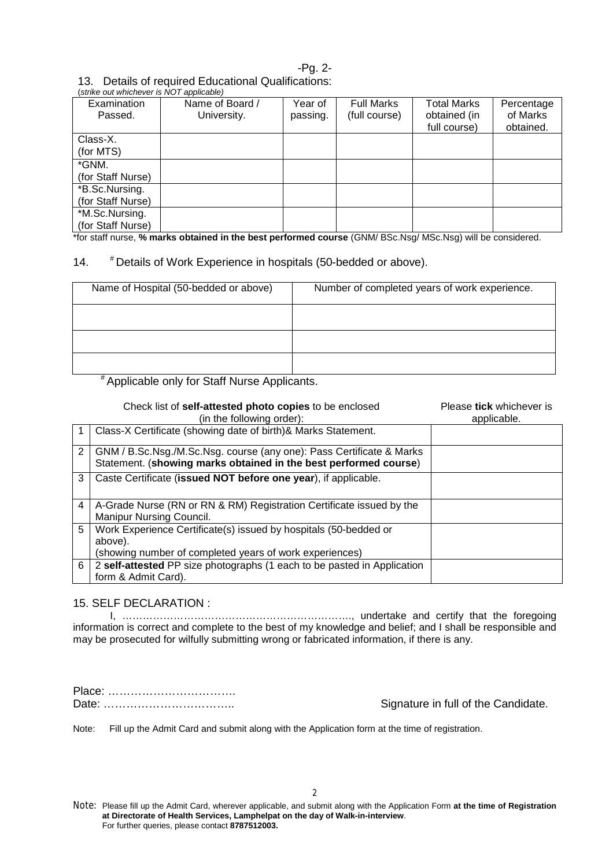## -Pg. 2-

# 13. Details of required Educational Qualifications:

| (strike out whichever is NOT applicable) |                 |          |                   |                    |            |
|------------------------------------------|-----------------|----------|-------------------|--------------------|------------|
| Examination                              | Name of Board / | Year of  | <b>Full Marks</b> | <b>Total Marks</b> | Percentage |
| Passed.                                  | University.     | passing. | (full course)     | obtained (in       | of Marks   |
|                                          |                 |          |                   | full course)       | obtained.  |
| Class-X.                                 |                 |          |                   |                    |            |
| (for MTS)                                |                 |          |                   |                    |            |
| *GNM.                                    |                 |          |                   |                    |            |
| (for Staff Nurse)                        |                 |          |                   |                    |            |
| *B.Sc.Nursing.                           |                 |          |                   |                    |            |
| (for Staff Nurse)                        |                 |          |                   |                    |            |
| *M.Sc.Nursing.                           |                 |          |                   |                    |            |
| (for Staff Nurse)                        |                 |          |                   |                    |            |

\*for staff nurse, **% marks obtained in the best performed course** (GNM/ BSc.Nsg/ MSc.Nsg) will be considered.

# 14. # Details of Work Experience in hospitals (50-bedded or above).

| Name of Hospital (50-bedded or above) | Number of completed years of work experience. |
|---------------------------------------|-----------------------------------------------|
|                                       |                                               |
|                                       |                                               |
|                                       |                                               |

# Applicable only for Staff Nurse Applicants.

|   | Check list of self-attested photo copies to be enclosed<br>(in the following order):                                                     | Please tick whichever is<br>applicable. |
|---|------------------------------------------------------------------------------------------------------------------------------------------|-----------------------------------------|
|   | Class-X Certificate (showing date of birth)& Marks Statement.                                                                            |                                         |
| 2 | GNM / B.Sc.Nsg./M.Sc.Nsg. course (any one): Pass Certificate & Marks<br>Statement. (showing marks obtained in the best performed course) |                                         |
| 3 | Caste Certificate (issued NOT before one year), if applicable.                                                                           |                                         |
| 4 | A-Grade Nurse (RN or RN & RM) Registration Certificate issued by the<br><b>Manipur Nursing Council.</b>                                  |                                         |
| 5 | Work Experience Certificate(s) issued by hospitals (50-bedded or<br>above).                                                              |                                         |
|   | (showing number of completed years of work experiences)                                                                                  |                                         |
| 6 | 2 self-attested PP size photographs (1 each to be pasted in Application                                                                  |                                         |
|   | form & Admit Card).                                                                                                                      |                                         |

## 15. SELF DECLARATION :

I, …………………………………………………………., undertake and certify that the foregoing information is correct and complete to the best of my knowledge and belief; and I shall be responsible and may be prosecuted for wilfully submitting wrong or fabricated information, if there is any.

Place: ……………………………. Date: …………………………….. Signature in full of the Candidate.

Note: Fill up the Admit Card and submit along with the Application form at the time of registration.

Note: Please fill up the Admit Card, wherever applicable, and submit along with the Application Form **at the time of Registration at Directorate of Health Services, Lamphelpat on the day of Walk-in-interview**. For further queries, please contact **8787512003.**